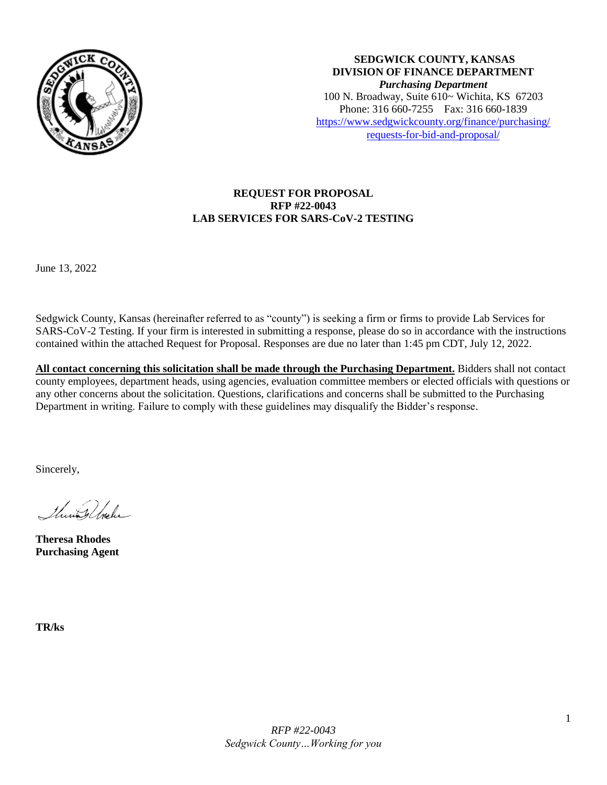

**SEDGWICK COUNTY, KANSAS DIVISION OF FINANCE DEPARTMENT** *Purchasing Department* 100 N. Broadway, Suite 610~ Wichita, KS 67203 Phone: 316 660-7255 Fax: 316 660-1839 [https://www.sedgwickcounty.org/finance/purchasing/](https://www.sedgwickcounty.org/finance/purchasing/requests-for-bid-and-proposal/)  [requests-for-bid-and-proposal/](https://www.sedgwickcounty.org/finance/purchasing/requests-for-bid-and-proposal/)

# **REQUEST FOR PROPOSAL RFP #22-0043 LAB SERVICES FOR SARS-CoV-2 TESTING**

June 13, 2022

Sedgwick County, Kansas (hereinafter referred to as "county") is seeking a firm or firms to provide Lab Services for SARS-CoV-2 Testing. If your firm is interested in submitting a response, please do so in accordance with the instructions contained within the attached Request for Proposal. Responses are due no later than 1:45 pm CDT, July 12, 2022.

**All contact concerning this solicitation shall be made through the Purchasing Department.** Bidders shall not contact county employees, department heads, using agencies, evaluation committee members or elected officials with questions or any other concerns about the solicitation. Questions, clarifications and concerns shall be submitted to the Purchasing Department in writing. Failure to comply with these guidelines may disqualify the Bidder's response.

Sincerely,

Thursdale

**Theresa Rhodes Purchasing Agent**

**TR/ks**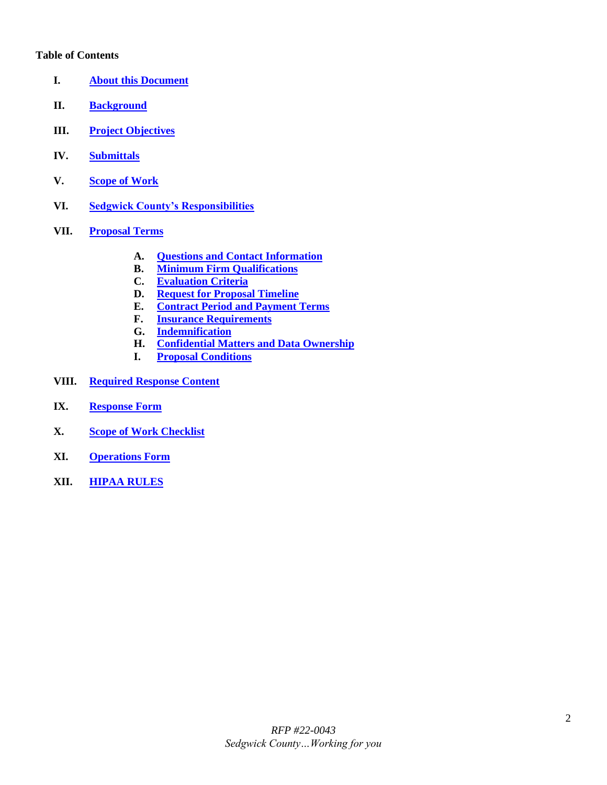#### **Table of Contents**

- <span id="page-1-0"></span>**I. [About this Document](#page-2-0)**
- <span id="page-1-1"></span>**II. [Background](#page-2-1)**
- <span id="page-1-2"></span>**III. [Project Objectives](#page-2-2)**
- <span id="page-1-3"></span>**IV. [Submittals](#page-2-3)**
- <span id="page-1-4"></span>**V. [Scope of Work](#page-3-0)**
- <span id="page-1-5"></span>**VI. [Sedgwick County's Responsibilities](#page-3-1)**
- <span id="page-1-10"></span><span id="page-1-9"></span><span id="page-1-8"></span><span id="page-1-7"></span><span id="page-1-6"></span>**VII. [Proposal Terms](#page-3-2)**
	- **A. [Questions and Contact Information](#page-4-0)**
	- **B. [Minimum Firm Qualifications](#page-4-1)**
	- **C. [Evaluation](#page-4-2) Criteria**
	- **D. [Request for Proposal Timeline](#page-5-0)**
	- **E. [Contract Period and Payment Terms](#page-5-1)**
	- **F. [Insurance Requirements](#page-5-2)**
	- **G. [Indemnification](#page-6-0)**
	- **H. [Confidential Matters and Data Ownership](#page-7-0)**
	- **I. [Proposal Conditions](#page-7-1)**
- <span id="page-1-15"></span><span id="page-1-14"></span><span id="page-1-13"></span><span id="page-1-12"></span><span id="page-1-11"></span>**VIII. [Required Response Content](#page-8-0)**
- <span id="page-1-16"></span>**IX. [Response Form](#page-9-0)**
- <span id="page-1-17"></span>**X. [Scope of Work Checklist](#page-10-0)**
- <span id="page-1-18"></span>**XI. [Operations Form](#page-11-0)**
- <span id="page-1-19"></span>**XII. [HIPAA RULES](#page-12-0)**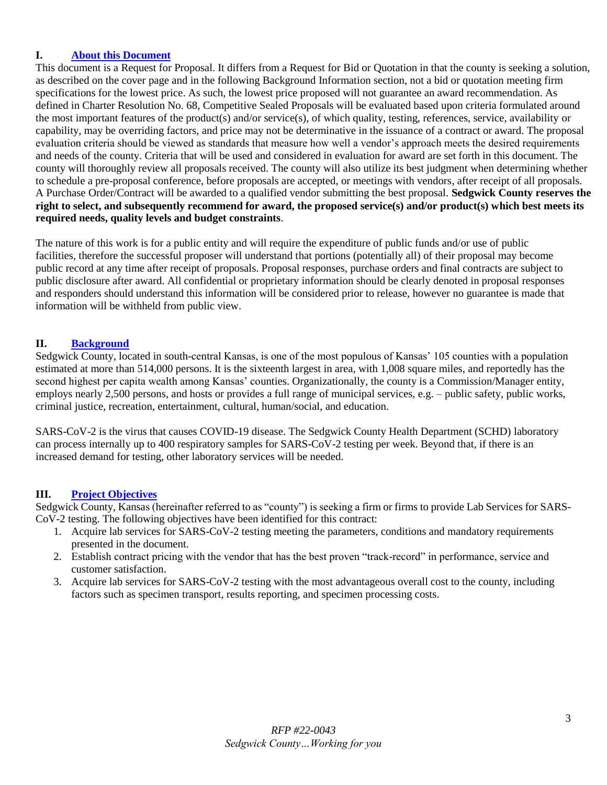# <span id="page-2-0"></span>**I. [About this Document](#page-1-0)**

This document is a Request for Proposal. It differs from a Request for Bid or Quotation in that the county is seeking a solution, as described on the cover page and in the following Background Information section, not a bid or quotation meeting firm specifications for the lowest price. As such, the lowest price proposed will not guarantee an award recommendation. As defined in Charter Resolution No. 68, Competitive Sealed Proposals will be evaluated based upon criteria formulated around the most important features of the product(s) and/or service(s), of which quality, testing, references, service, availability or capability, may be overriding factors, and price may not be determinative in the issuance of a contract or award. The proposal evaluation criteria should be viewed as standards that measure how well a vendor's approach meets the desired requirements and needs of the county. Criteria that will be used and considered in evaluation for award are set forth in this document. The county will thoroughly review all proposals received. The county will also utilize its best judgment when determining whether to schedule a pre-proposal conference, before proposals are accepted, or meetings with vendors, after receipt of all proposals. A Purchase Order/Contract will be awarded to a qualified vendor submitting the best proposal. **Sedgwick County reserves the right to select, and subsequently recommend for award, the proposed service(s) and/or product(s) which best meets its required needs, quality levels and budget constraints**.

The nature of this work is for a public entity and will require the expenditure of public funds and/or use of public facilities, therefore the successful proposer will understand that portions (potentially all) of their proposal may become public record at any time after receipt of proposals. Proposal responses, purchase orders and final contracts are subject to public disclosure after award. All confidential or proprietary information should be clearly denoted in proposal responses and responders should understand this information will be considered prior to release, however no guarantee is made that information will be withheld from public view.

## <span id="page-2-1"></span>**II. [Background](#page-1-1)**

Sedgwick County, located in south-central Kansas, is one of the most populous of Kansas' 105 counties with a population estimated at more than 514,000 persons. It is the sixteenth largest in area, with 1,008 square miles, and reportedly has the second highest per capita wealth among Kansas' counties. Organizationally, the county is a Commission/Manager entity, employs nearly 2,500 persons, and hosts or provides a full range of municipal services, e.g. – public safety, public works, criminal justice, recreation, entertainment, cultural, human/social, and education.

SARS-CoV-2 is the virus that causes COVID-19 disease. The Sedgwick County Health Department (SCHD) laboratory can process internally up to 400 respiratory samples for SARS-CoV-2 testing per week. Beyond that, if there is an increased demand for testing, other laboratory services will be needed.

#### <span id="page-2-2"></span>**III. [Project Objectives](#page-1-2)**

Sedgwick County, Kansas (hereinafter referred to as "county") is seeking a firm or firms to provide Lab Services for SARS-CoV-2 testing. The following objectives have been identified for this contract:

- 1. Acquire lab services for SARS-CoV-2 testing meeting the parameters, conditions and mandatory requirements presented in the document.
- 2. Establish contract pricing with the vendor that has the best proven "track-record" in performance, service and customer satisfaction.
- <span id="page-2-3"></span>3. Acquire lab services for SARS-CoV-2 testing with the most advantageous overall cost to the county, including factors such as specimen transport, results reporting, and specimen processing costs.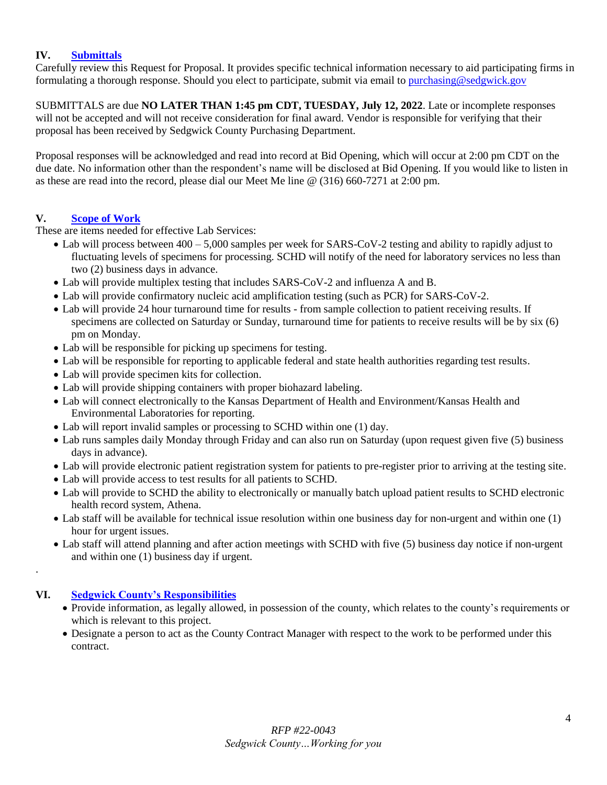# **IV. [Submittals](#page-1-3)**

Carefully review this Request for Proposal. It provides specific technical information necessary to aid participating firms in formulating a thorough response. Should you elect to participate, submit via email to [purchasing@sedgwick.gov](mailto:purchasing@sedgwick.gov)

SUBMITTALS are due **NO LATER THAN 1:45 pm CDT, TUESDAY, July 12, 2022**. Late or incomplete responses will not be accepted and will not receive consideration for final award. Vendor is responsible for verifying that their proposal has been received by Sedgwick County Purchasing Department.

Proposal responses will be acknowledged and read into record at Bid Opening, which will occur at 2:00 pm CDT on the due date. No information other than the respondent's name will be disclosed at Bid Opening. If you would like to listen in as these are read into the record, please dial our Meet Me line @ (316) 660-7271 at 2:00 pm.

## **V. [Scope of Work](#page-1-4)**

These are items needed for effective Lab Services:

- <span id="page-3-0"></span>• Lab will process between  $400 - 5{,}000$  samples per week for SARS-CoV-2 testing and ability to rapidly adjust to fluctuating levels of specimens for processing. SCHD will notify of the need for laboratory services no less than two (2) business days in advance.
- Lab will provide multiplex testing that includes SARS-CoV-2 and influenza A and B.
- Lab will provide confirmatory nucleic acid amplification testing (such as PCR) for SARS-CoV-2.
- Lab will provide 24 hour turnaround time for results from sample collection to patient receiving results. If specimens are collected on Saturday or Sunday, turnaround time for patients to receive results will be by six (6) pm on Monday.
- Lab will be responsible for picking up specimens for testing.
- Lab will be responsible for reporting to applicable federal and state health authorities regarding test results.
- Lab will provide specimen kits for collection.
- Lab will provide shipping containers with proper biohazard labeling.
- Lab will connect electronically to the Kansas Department of Health and Environment/Kansas Health and Environmental Laboratories for reporting.
- Lab will report invalid samples or processing to SCHD within one (1) day.
- Lab runs samples daily Monday through Friday and can also run on Saturday (upon request given five (5) business days in advance).
- Lab will provide electronic patient registration system for patients to pre-register prior to arriving at the testing site.
- Lab will provide access to test results for all patients to SCHD.
- Lab will provide to SCHD the ability to electronically or manually batch upload patient results to SCHD electronic health record system, Athena.
- Lab staff will be available for technical issue resolution within one business day for non-urgent and within one (1) hour for urgent issues.
- Lab staff will attend planning and after action meetings with SCHD with five (5) business day notice if non-urgent and within one (1) business day if urgent.

# **VI. [Sedgwick County's Responsibilities](#page-1-5)**

.

- <span id="page-3-1"></span> Provide information, as legally allowed, in possession of the county, which relates to the county's requirements or which is relevant to this project.
- <span id="page-3-2"></span> Designate a person to act as the County Contract Manager with respect to the work to be performed under this contract.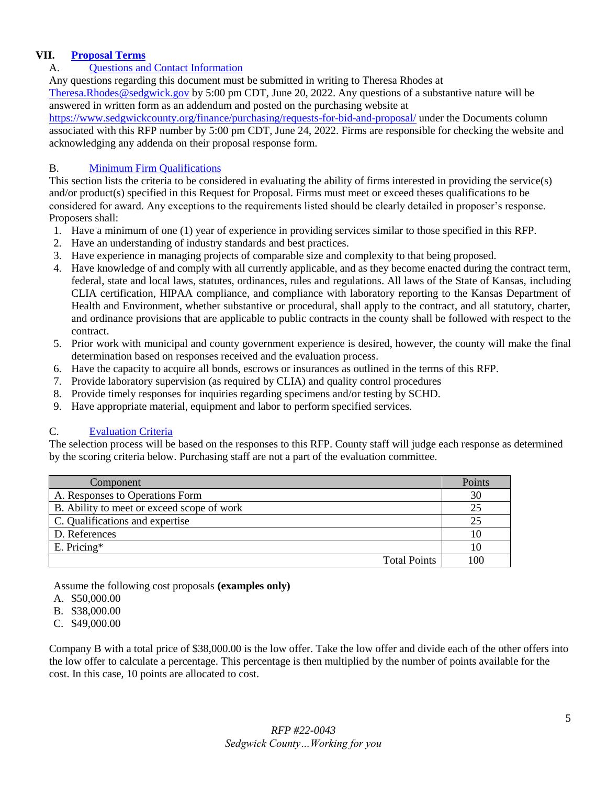# <span id="page-4-0"></span>**VII. [Proposal Terms](#page-1-6)**

# A. [Questions and Contact Information](#page-1-7)

Any questions regarding this document must be submitted in writing to Theresa Rhodes at [Theresa.Rhodes@sedgwick.gov](mailto:Theresa.Rhodes@sedgwick.gov) by 5:00 pm CDT, June 20, 2022. Any questions of a substantive nature will be answered in written form as an addendum and posted on the purchasing website at

<https://www.sedgwickcounty.org/finance/purchasing/requests-for-bid-and-proposal/> under the Documents column associated with this RFP number by 5:00 pm CDT, June 24, 2022. Firms are responsible for checking the website and acknowledging any addenda on their proposal response form.

#### <span id="page-4-1"></span>B. Minimum Firm [Qualifications](#page-1-8)

This section lists the criteria to be considered in evaluating the ability of firms interested in providing the service(s) and/or product(s) specified in this Request for Proposal. Firms must meet or exceed theses qualifications to be considered for award. Any exceptions to the requirements listed should be clearly detailed in proposer's response. Proposers shall:

- 1. Have a minimum of one (1) year of experience in providing services similar to those specified in this RFP.
- 2. Have an understanding of industry standards and best practices.
- 3. Have experience in managing projects of comparable size and complexity to that being proposed.
- 4. Have knowledge of and comply with all currently applicable, and as they become enacted during the contract term, federal, state and local laws, statutes, ordinances, rules and regulations. All laws of the State of Kansas, including CLIA certification, HIPAA compliance, and compliance with laboratory reporting to the Kansas Department of Health and Environment, whether substantive or procedural, shall apply to the contract, and all statutory, charter, and ordinance provisions that are applicable to public contracts in the county shall be followed with respect to the contract.
- 5. Prior work with municipal and county government experience is desired, however, the county will make the final determination based on responses received and the evaluation process.
- 6. Have the capacity to acquire all bonds, escrows or insurances as outlined in the terms of this RFP.
- 7. Provide laboratory supervision (as required by CLIA) and quality control procedures
- 8. Provide timely responses for inquiries regarding specimens and/or testing by SCHD.
- 9. Have appropriate material, equipment and labor to perform specified services.

#### <span id="page-4-2"></span>C. [Evaluation](#page-1-9) Criteria

The selection process will be based on the responses to this RFP. County staff will judge each response as determined by the scoring criteria below. Purchasing staff are not a part of the evaluation committee.

| Component                                  | Points |
|--------------------------------------------|--------|
| A. Responses to Operations Form            | 30     |
| B. Ability to meet or exceed scope of work | 25     |
| C. Qualifications and expertise            | 25     |
| D. References                              | 10     |
| $E.$ Pricing*                              | 10     |
| <b>Total Points</b>                        | 100    |

Assume the following cost proposals **(examples only)**

- A. \$50,000.00
- B. \$38,000.00
- C. \$49,000.00

Company B with a total price of \$38,000.00 is the low offer. Take the low offer and divide each of the other offers into the low offer to calculate a percentage. This percentage is then multiplied by the number of points available for the cost. In this case, 10 points are allocated to cost.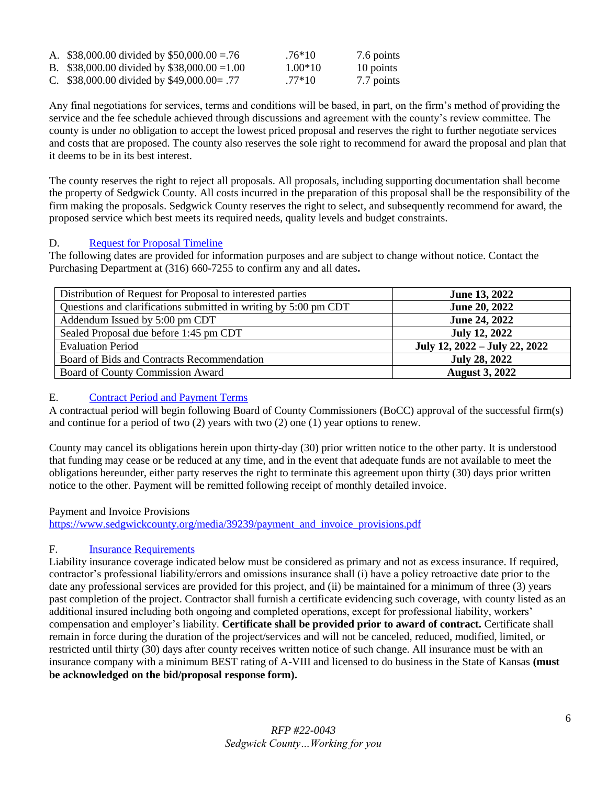| A. \$38,000.00 divided by \$50,000.00 = .76  | $.76*10$  | 7.6 points |
|----------------------------------------------|-----------|------------|
| B. \$38,000.00 divided by \$38,000.00 = 1.00 | $1.00*10$ | 10 points  |
| C. \$38,000.00 divided by \$49,000.00= .77   | $.77*10$  | 7.7 points |

Any final negotiations for services, terms and conditions will be based, in part, on the firm's method of providing the service and the fee schedule achieved through discussions and agreement with the county's review committee. The county is under no obligation to accept the lowest priced proposal and reserves the right to further negotiate services and costs that are proposed. The county also reserves the sole right to recommend for award the proposal and plan that it deems to be in its best interest.

The county reserves the right to reject all proposals. All proposals, including supporting documentation shall become the property of Sedgwick County. All costs incurred in the preparation of this proposal shall be the responsibility of the firm making the proposals. Sedgwick County reserves the right to select, and subsequently recommend for award, the proposed service which best meets its required needs, quality levels and budget constraints.

# <span id="page-5-0"></span>D. [Request for Proposal Timeline](#page-1-9)

The following dates are provided for information purposes and are subject to change without notice. Contact the Purchasing Department at (316) 660-7255 to confirm any and all dates**.**

| Distribution of Request for Proposal to interested parties       | June 13, 2022                 |
|------------------------------------------------------------------|-------------------------------|
| Questions and clarifications submitted in writing by 5:00 pm CDT | June 20, 2022                 |
| Addendum Issued by 5:00 pm CDT                                   | June 24, 2022                 |
| Sealed Proposal due before 1:45 pm CDT                           | <b>July 12, 2022</b>          |
| <b>Evaluation Period</b>                                         | July 12, 2022 – July 22, 2022 |
| Board of Bids and Contracts Recommendation                       | <b>July 28, 2022</b>          |
| Board of County Commission Award                                 | <b>August 3, 2022</b>         |

# <span id="page-5-1"></span>E. [Contract Period and Payment Terms](#page-1-10)

A contractual period will begin following Board of County Commissioners (BoCC) approval of the successful firm(s) and continue for a period of two (2) years with two (2) one (1) year options to renew.

County may cancel its obligations herein upon thirty-day (30) prior written notice to the other party. It is understood that funding may cease or be reduced at any time, and in the event that adequate funds are not available to meet the obligations hereunder, either party reserves the right to terminate this agreement upon thirty (30) days prior written notice to the other. Payment will be remitted following receipt of monthly detailed invoice.

# Payment and Invoice Provisions

[https://www.sedgwickcounty.org/media/39239/payment\\_and\\_invoice\\_provisions.pdf](https://www.sedgwickcounty.org/media/39239/payment_and_invoice_provisions.pdf)

# <span id="page-5-2"></span>F. [Insurance Requirements](#page-1-11)

Liability insurance coverage indicated below must be considered as primary and not as excess insurance. If required, contractor's professional liability/errors and omissions insurance shall (i) have a policy retroactive date prior to the date any professional services are provided for this project, and (ii) be maintained for a minimum of three (3) years past completion of the project. Contractor shall furnish a certificate evidencing such coverage, with county listed as an additional insured including both ongoing and completed operations, except for professional liability, workers' compensation and employer's liability. **Certificate shall be provided prior to award of contract.** Certificate shall remain in force during the duration of the project/services and will not be canceled, reduced, modified, limited, or restricted until thirty (30) days after county receives written notice of such change. All insurance must be with an insurance company with a minimum BEST rating of A-VIII and licensed to do business in the State of Kansas **(must be acknowledged on the bid/proposal response form).**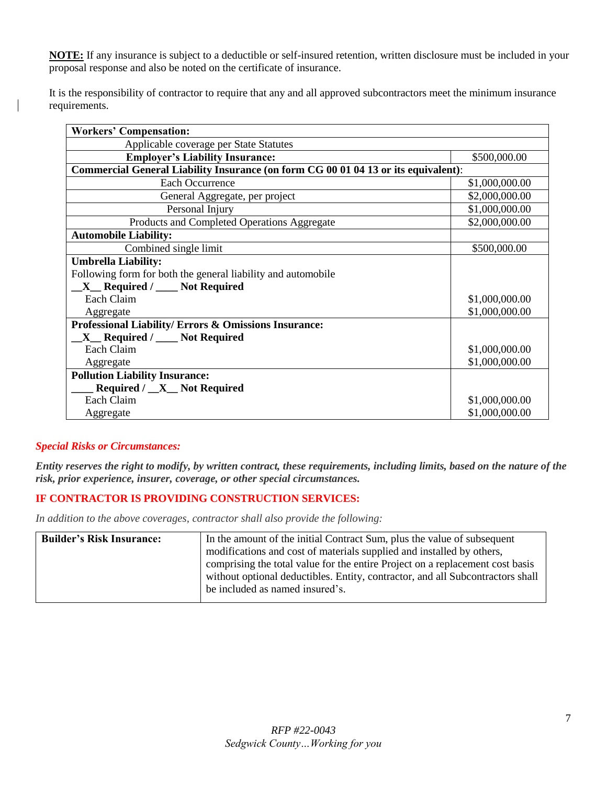**NOTE:** If any insurance is subject to a deductible or self-insured retention, written disclosure must be included in your proposal response and also be noted on the certificate of insurance.

It is the responsibility of contractor to require that any and all approved subcontractors meet the minimum insurance requirements.

| <b>Workers' Compensation:</b>                                                      |                |
|------------------------------------------------------------------------------------|----------------|
| Applicable coverage per State Statutes                                             |                |
| <b>Employer's Liability Insurance:</b>                                             | \$500,000.00   |
| Commercial General Liability Insurance (on form CG 00 01 04 13 or its equivalent): |                |
| <b>Each Occurrence</b>                                                             | \$1,000,000.00 |
| General Aggregate, per project                                                     | \$2,000,000.00 |
| Personal Injury                                                                    | \$1,000,000.00 |
| Products and Completed Operations Aggregate                                        | \$2,000,000.00 |
| <b>Automobile Liability:</b>                                                       |                |
| Combined single limit                                                              | \$500,000.00   |
| <b>Umbrella Liability:</b>                                                         |                |
| Following form for both the general liability and automobile                       |                |
| $X$ <sub>_</sub> Required / ___ Not Required                                       |                |
| Each Claim                                                                         | \$1,000,000.00 |
| Aggregate                                                                          | \$1,000,000.00 |
| Professional Liability/ Errors & Omissions Insurance:                              |                |
| $X$ Required / $\sim$ Not Required                                                 |                |
| Each Claim                                                                         | \$1,000,000.00 |
| Aggregate                                                                          | \$1,000,000.00 |
| <b>Pollution Liability Insurance:</b>                                              |                |
| Required / <u>X</u> Not Required                                                   |                |
| Each Claim                                                                         | \$1,000,000.00 |
| Aggregate                                                                          | \$1,000,000.00 |

#### *Special Risks or Circumstances:*

*Entity reserves the right to modify, by written contract, these requirements, including limits, based on the nature of the risk, prior experience, insurer, coverage, or other special circumstances.*

# **IF CONTRACTOR IS PROVIDING CONSTRUCTION SERVICES:**

*In addition to the above coverages, contractor shall also provide the following:*

<span id="page-6-0"></span>

| <b>Builder's Risk Insurance:</b> | In the amount of the initial Contract Sum, plus the value of subsequent        |
|----------------------------------|--------------------------------------------------------------------------------|
|                                  | modifications and cost of materials supplied and installed by others,          |
|                                  | comprising the total value for the entire Project on a replacement cost basis  |
|                                  | without optional deductibles. Entity, contractor, and all Subcontractors shall |
|                                  | be included as named insured's.                                                |
|                                  |                                                                                |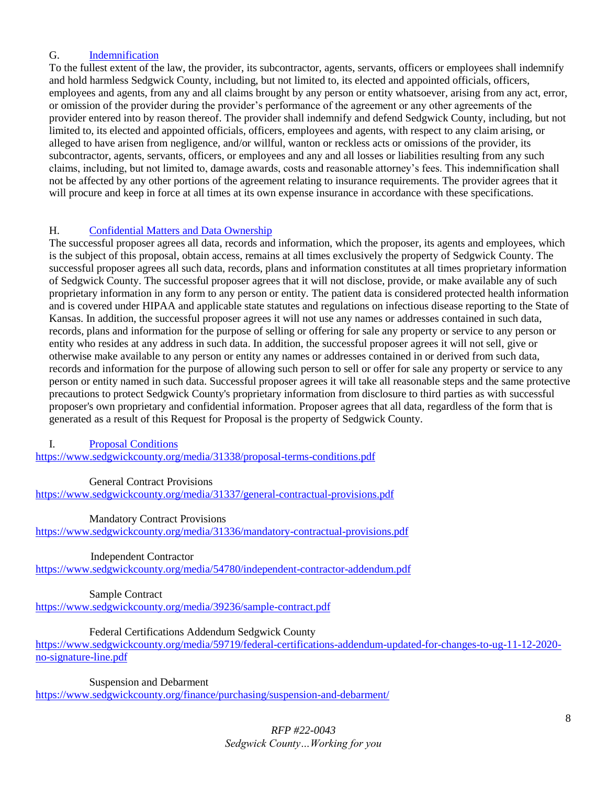# G. [Indemnification](#page-1-12)

To the fullest extent of the law, the provider, its subcontractor, agents, servants, officers or employees shall indemnify and hold harmless Sedgwick County, including, but not limited to, its elected and appointed officials, officers, employees and agents, from any and all claims brought by any person or entity whatsoever, arising from any act, error, or omission of the provider during the provider's performance of the agreement or any other agreements of the provider entered into by reason thereof. The provider shall indemnify and defend Sedgwick County, including, but not limited to, its elected and appointed officials, officers, employees and agents, with respect to any claim arising, or alleged to have arisen from negligence, and/or willful, wanton or reckless acts or omissions of the provider, its subcontractor, agents, servants, officers, or employees and any and all losses or liabilities resulting from any such claims, including, but not limited to, damage awards, costs and reasonable attorney's fees. This indemnification shall not be affected by any other portions of the agreement relating to insurance requirements. The provider agrees that it will procure and keep in force at all times at its own expense insurance in accordance with these specifications.

## <span id="page-7-0"></span>H. [Confidential Matters and Data Ownership](#page-1-13)

The successful proposer agrees all data, records and information, which the proposer, its agents and employees, which is the subject of this proposal, obtain access, remains at all times exclusively the property of Sedgwick County. The successful proposer agrees all such data, records, plans and information constitutes at all times proprietary information of Sedgwick County. The successful proposer agrees that it will not disclose, provide, or make available any of such proprietary information in any form to any person or entity. The patient data is considered protected health information and is covered under HIPAA and applicable state statutes and regulations on infectious disease reporting to the State of Kansas. In addition, the successful proposer agrees it will not use any names or addresses contained in such data, records, plans and information for the purpose of selling or offering for sale any property or service to any person or entity who resides at any address in such data. In addition, the successful proposer agrees it will not sell, give or otherwise make available to any person or entity any names or addresses contained in or derived from such data, records and information for the purpose of allowing such person to sell or offer for sale any property or service to any person or entity named in such data. Successful proposer agrees it will take all reasonable steps and the same protective precautions to protect Sedgwick County's proprietary information from disclosure to third parties as with successful proposer's own proprietary and confidential information. Proposer agrees that all data, regardless of the form that is generated as a result of this Request for Proposal is the property of Sedgwick County.

<span id="page-7-1"></span>I. [Proposal Conditions](#page-1-14)

<https://www.sedgwickcounty.org/media/31338/proposal-terms-conditions.pdf>

General Contract Provisions

<https://www.sedgwickcounty.org/media/31337/general-contractual-provisions.pdf>

Mandatory Contract Provisions

<https://www.sedgwickcounty.org/media/31336/mandatory-contractual-provisions.pdf>

Independent Contractor

<https://www.sedgwickcounty.org/media/54780/independent-contractor-addendum.pdf>

Sample Contract <https://www.sedgwickcounty.org/media/39236/sample-contract.pdf>

Federal Certifications Addendum Sedgwick County

[https://www.sedgwickcounty.org/media/59719/federal-certifications-addendum-updated-for-changes-to-ug-11-12-2020](https://www.sedgwickcounty.org/media/59719/federal-certifications-addendum-updated-for-changes-to-ug-11-12-2020-no-signature-line.pdf) [no-signature-line.pdf](https://www.sedgwickcounty.org/media/59719/federal-certifications-addendum-updated-for-changes-to-ug-11-12-2020-no-signature-line.pdf)

Suspension and Debarment

<https://www.sedgwickcounty.org/finance/purchasing/suspension-and-debarment/>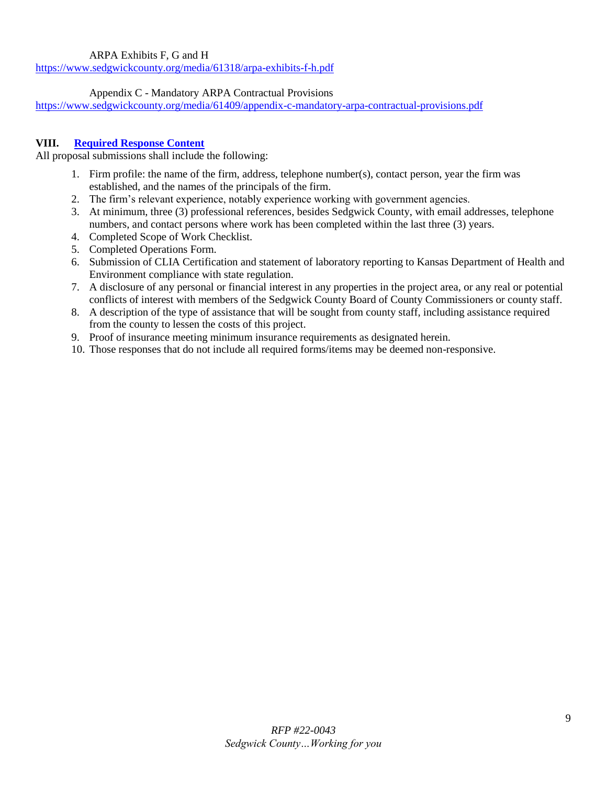# ARPA Exhibits F, G and H

<https://www.sedgwickcounty.org/media/61318/arpa-exhibits-f-h.pdf>

## Appendix C - Mandatory ARPA Contractual Provisions

<https://www.sedgwickcounty.org/media/61409/appendix-c-mandatory-arpa-contractual-provisions.pdf>

# <span id="page-8-0"></span>**VIII. [Required Response Content](#page-1-15)**

All proposal submissions shall include the following:

- 1. Firm profile: the name of the firm, address, telephone number(s), contact person, year the firm was established, and the names of the principals of the firm.
- 2. The firm's relevant experience, notably experience working with government agencies.
- 3. At minimum, three (3) professional references, besides Sedgwick County, with email addresses, telephone numbers, and contact persons where work has been completed within the last three (3) years.
- 4. Completed Scope of Work Checklist.
- 5. Completed Operations Form.
- 6. Submission of CLIA Certification and statement of laboratory reporting to Kansas Department of Health and Environment compliance with state regulation.
- 7. A disclosure of any personal or financial interest in any properties in the project area, or any real or potential conflicts of interest with members of the Sedgwick County Board of County Commissioners or county staff.
- 8. A description of the type of assistance that will be sought from county staff, including assistance required from the county to lessen the costs of this project.
- 9. Proof of insurance meeting minimum insurance requirements as designated herein.
- 10. Those responses that do not include all required forms/items may be deemed non-responsive.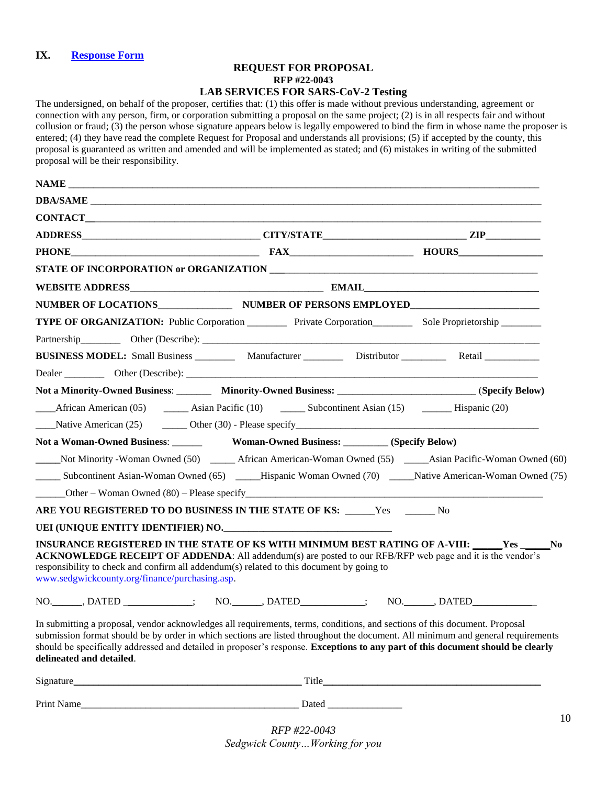### <span id="page-9-0"></span>**IX. [Response Form](#page-1-16)**

#### **REQUEST FOR PROPOSAL RFP #22-0043 LAB SERVICES FOR SARS-CoV-2 Testing**

The undersigned, on behalf of the proposer, certifies that: (1) this offer is made without previous understanding, agreement or connection with any person, firm, or corporation submitting a proposal on the same project; (2) is in all respects fair and without collusion or fraud; (3) the person whose signature appears below is legally empowered to bind the firm in whose name the proposer is entered; (4) they have read the complete Request for Proposal and understands all provisions; (5) if accepted by the county, this proposal is guaranteed as written and amended and will be implemented as stated; and (6) mistakes in writing of the submitted proposal will be their responsibility.

|                                                                                                                                            | NUMBER OF LOCATIONS_________________________ NUMBER OF PERSONS EMPLOYED_____________________________                                                                                                                                                                                                                                                                                             |  |
|--------------------------------------------------------------------------------------------------------------------------------------------|--------------------------------------------------------------------------------------------------------------------------------------------------------------------------------------------------------------------------------------------------------------------------------------------------------------------------------------------------------------------------------------------------|--|
|                                                                                                                                            | <b>TYPE OF ORGANIZATION:</b> Public Corporation __________ Private Corporation__________ Sole Proprietorship ________                                                                                                                                                                                                                                                                            |  |
|                                                                                                                                            |                                                                                                                                                                                                                                                                                                                                                                                                  |  |
|                                                                                                                                            | BUSINESS MODEL: Small Business ____________ Manufacturer ________________ Distributor _____________ Retail ___________                                                                                                                                                                                                                                                                           |  |
|                                                                                                                                            |                                                                                                                                                                                                                                                                                                                                                                                                  |  |
|                                                                                                                                            | Not a Minority-Owned Business: Minority-Owned Business: ________________________(Specify Below)                                                                                                                                                                                                                                                                                                  |  |
|                                                                                                                                            | African American (05) ________ Asian Pacific (10) ________ Subcontinent Asian (15) __________ Hispanic (20)                                                                                                                                                                                                                                                                                      |  |
|                                                                                                                                            | $\text{Mative American (25)}$ $\text{Other (30)}$ - Please specify $\text{Mink}$                                                                                                                                                                                                                                                                                                                 |  |
|                                                                                                                                            |                                                                                                                                                                                                                                                                                                                                                                                                  |  |
|                                                                                                                                            | Not Minority -Woman Owned (50) _______ African American-Woman Owned (55) ______Asian Pacific-Woman Owned (60)                                                                                                                                                                                                                                                                                    |  |
|                                                                                                                                            | Subcontinent Asian-Woman Owned (65) _____Hispanic Woman Owned (70) ______Native American-Woman Owned (75)                                                                                                                                                                                                                                                                                        |  |
|                                                                                                                                            |                                                                                                                                                                                                                                                                                                                                                                                                  |  |
|                                                                                                                                            | ARE YOU REGISTERED TO DO BUSINESS IN THE STATE OF KS: _____Yes ______No                                                                                                                                                                                                                                                                                                                          |  |
| UEI (UNIQUE ENTITY IDENTIFIER) NO.                                                                                                         |                                                                                                                                                                                                                                                                                                                                                                                                  |  |
| responsibility to check and confirm all addendum(s) related to this document by going to<br>www.sedgwickcounty.org/finance/purchasing.asp. | INSURANCE REGISTERED IN THE STATE OF KS WITH MINIMUM BEST RATING OF A-VIII: _____Yes _____No<br><b>ACKNOWLEDGE RECEIPT OF ADDENDA:</b> All addendum(s) are posted to our RFB/RFP web page and it is the vendor's                                                                                                                                                                                 |  |
|                                                                                                                                            | NO. _____, DATED ____________; NO. _____, DATED _________; NO. _____, DATED ___________                                                                                                                                                                                                                                                                                                          |  |
| delineated and detailed.                                                                                                                   | In submitting a proposal, vendor acknowledges all requirements, terms, conditions, and sections of this document. Proposal<br>submission format should be by order in which sections are listed throughout the document. All minimum and general requirements<br>should be specifically addressed and detailed in proposer's response. Exceptions to any part of this document should be clearly |  |
|                                                                                                                                            |                                                                                                                                                                                                                                                                                                                                                                                                  |  |
|                                                                                                                                            |                                                                                                                                                                                                                                                                                                                                                                                                  |  |

*RFP #22-0043 Sedgwick County…Working for you*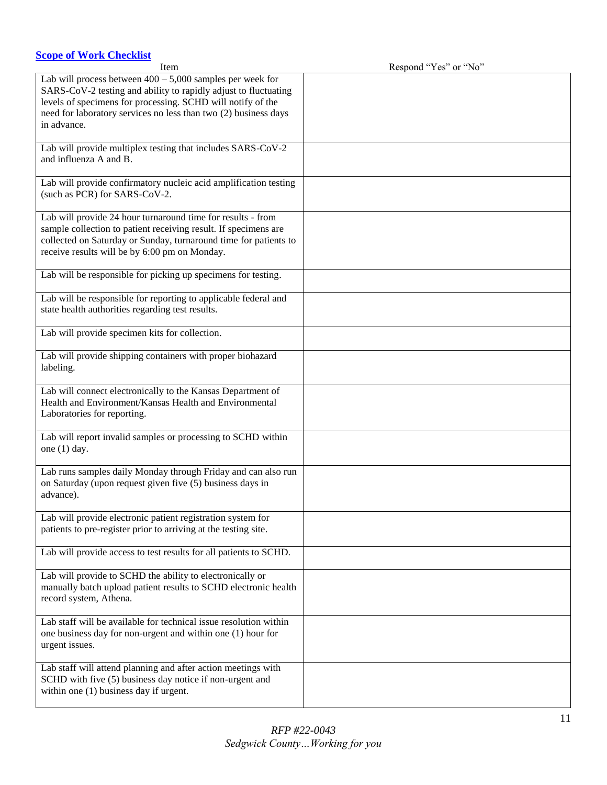# <span id="page-10-0"></span>**[Scope of Work Checklist](#page-1-17)**

| Item                                                                                                                                                                                                                                                                              | Respond "Yes" or "No" |
|-----------------------------------------------------------------------------------------------------------------------------------------------------------------------------------------------------------------------------------------------------------------------------------|-----------------------|
| Lab will process between $400 - 5{,}000$ samples per week for<br>SARS-CoV-2 testing and ability to rapidly adjust to fluctuating<br>levels of specimens for processing. SCHD will notify of the<br>need for laboratory services no less than two (2) business days<br>in advance. |                       |
| Lab will provide multiplex testing that includes SARS-CoV-2<br>and influenza A and B.                                                                                                                                                                                             |                       |
| Lab will provide confirmatory nucleic acid amplification testing<br>(such as PCR) for SARS-CoV-2.                                                                                                                                                                                 |                       |
| Lab will provide 24 hour turnaround time for results - from<br>sample collection to patient receiving result. If specimens are<br>collected on Saturday or Sunday, turnaround time for patients to<br>receive results will be by 6:00 pm on Monday.                               |                       |
| Lab will be responsible for picking up specimens for testing.                                                                                                                                                                                                                     |                       |
| Lab will be responsible for reporting to applicable federal and<br>state health authorities regarding test results.                                                                                                                                                               |                       |
| Lab will provide specimen kits for collection.                                                                                                                                                                                                                                    |                       |
| Lab will provide shipping containers with proper biohazard<br>labeling.                                                                                                                                                                                                           |                       |
| Lab will connect electronically to the Kansas Department of<br>Health and Environment/Kansas Health and Environmental<br>Laboratories for reporting.                                                                                                                              |                       |
| Lab will report invalid samples or processing to SCHD within<br>one $(1)$ day.                                                                                                                                                                                                    |                       |
| Lab runs samples daily Monday through Friday and can also run<br>on Saturday (upon request given five (5) business days in<br>advance).                                                                                                                                           |                       |
| Lab will provide electronic patient registration system for<br>patients to pre-register prior to arriving at the testing site.                                                                                                                                                    |                       |
| Lab will provide access to test results for all patients to SCHD.                                                                                                                                                                                                                 |                       |
| Lab will provide to SCHD the ability to electronically or<br>manually batch upload patient results to SCHD electronic health<br>record system, Athena.                                                                                                                            |                       |
| Lab staff will be available for technical issue resolution within<br>one business day for non-urgent and within one (1) hour for<br>urgent issues.                                                                                                                                |                       |
| Lab staff will attend planning and after action meetings with<br>SCHD with five (5) business day notice if non-urgent and<br>within one (1) business day if urgent.                                                                                                               |                       |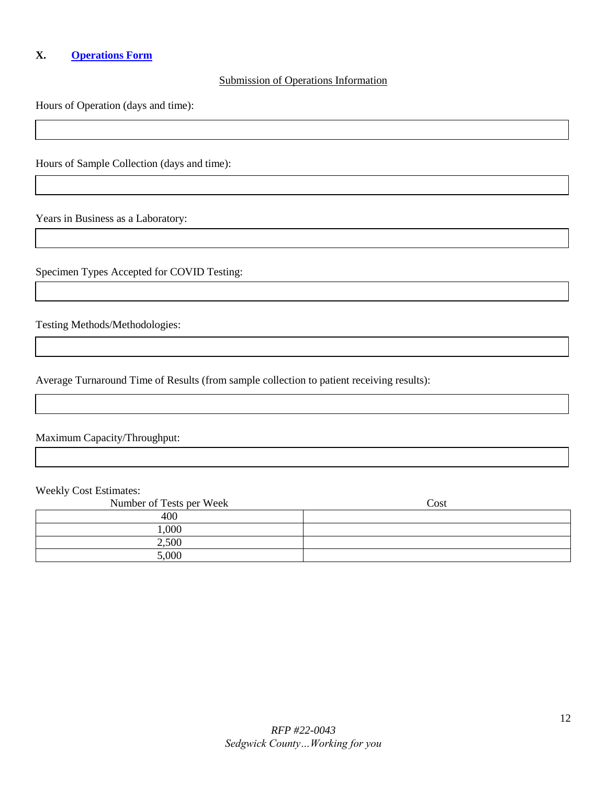# <span id="page-11-0"></span>**X. [Operations Form](#page-1-18)**

#### Submission of Operations Information

Hours of Operation (days and time):

Hours of Sample Collection (days and time):

Years in Business as a Laboratory:

Specimen Types Accepted for COVID Testing:

Testing Methods/Methodologies:

Average Turnaround Time of Results (from sample collection to patient receiving results):

Maximum Capacity/Throughput:

Weekly Cost Estimates:

| Number of Tests per Week | Cost |
|--------------------------|------|
| 400                      |      |
| 000,1                    |      |
| 2,500                    |      |
| 5,000                    |      |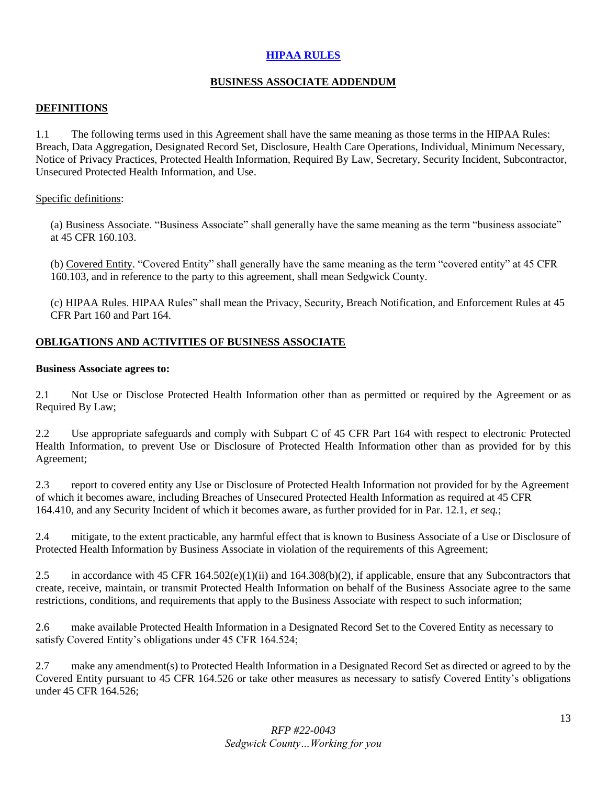## <span id="page-12-0"></span>**[HIPAA RULES](#page-1-19)**

# **BUSINESS ASSOCIATE ADDENDUM**

## **DEFINITIONS**

1.1 The following terms used in this Agreement shall have the same meaning as those terms in the HIPAA Rules: Breach, Data Aggregation, Designated Record Set, Disclosure, Health Care Operations, Individual, Minimum Necessary, Notice of Privacy Practices, Protected Health Information, Required By Law, Secretary, Security Incident, Subcontractor, Unsecured Protected Health Information, and Use.

#### Specific definitions:

(a) Business Associate. "Business Associate" shall generally have the same meaning as the term "business associate" at 45 CFR 160.103.

(b) Covered Entity. "Covered Entity" shall generally have the same meaning as the term "covered entity" at 45 CFR 160.103, and in reference to the party to this agreement, shall mean Sedgwick County.

(c) HIPAA Rules. HIPAA Rules" shall mean the Privacy, Security, Breach Notification, and Enforcement Rules at 45 CFR Part 160 and Part 164.

## **OBLIGATIONS AND ACTIVITIES OF BUSINESS ASSOCIATE**

#### **Business Associate agrees to:**

2.1 Not Use or Disclose Protected Health Information other than as permitted or required by the Agreement or as Required By Law;

2.2 Use appropriate safeguards and comply with Subpart C of 45 CFR Part 164 with respect to electronic Protected Health Information, to prevent Use or Disclosure of Protected Health Information other than as provided for by this Agreement;

2.3 report to covered entity any Use or Disclosure of Protected Health Information not provided for by the Agreement of which it becomes aware, including Breaches of Unsecured Protected Health Information as required at 45 CFR 164.410, and any Security Incident of which it becomes aware, as further provided for in Par. 12.1, *et seq.*;

2.4 mitigate, to the extent practicable, any harmful effect that is known to Business Associate of a Use or Disclosure of Protected Health Information by Business Associate in violation of the requirements of this Agreement;

2.5 in accordance with 45 CFR 164.502(e)(1)(ii) and 164.308(b)(2), if applicable, ensure that any Subcontractors that create, receive, maintain, or transmit Protected Health Information on behalf of the Business Associate agree to the same restrictions, conditions, and requirements that apply to the Business Associate with respect to such information;

2.6 make available Protected Health Information in a Designated Record Set to the Covered Entity as necessary to satisfy Covered Entity's obligations under 45 CFR 164.524;

2.7 make any amendment(s) to Protected Health Information in a Designated Record Set as directed or agreed to by the Covered Entity pursuant to 45 CFR 164.526 or take other measures as necessary to satisfy Covered Entity's obligations under 45 CFR 164.526;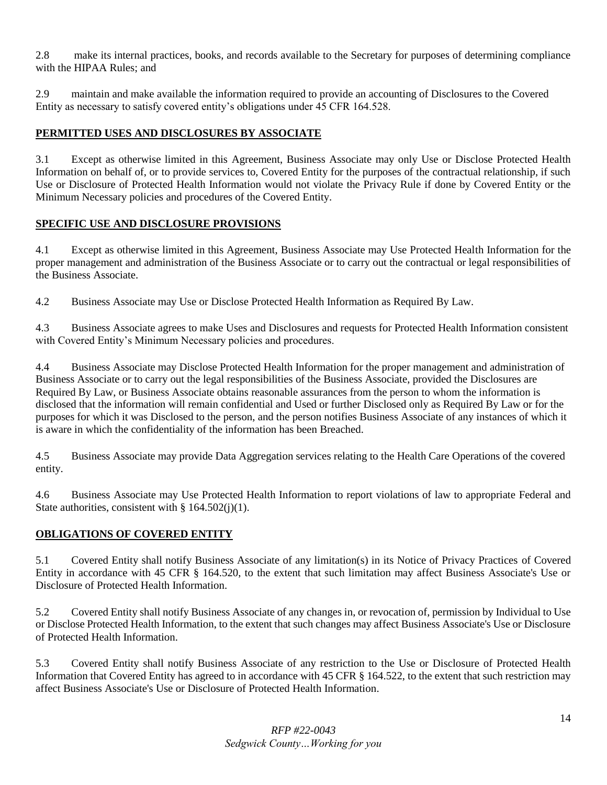2.8 make its internal practices, books, and records available to the Secretary for purposes of determining compliance with the HIPAA Rules; and

2.9 maintain and make available the information required to provide an accounting of Disclosures to the Covered Entity as necessary to satisfy covered entity's obligations under 45 CFR 164.528.

# **PERMITTED USES AND DISCLOSURES BY ASSOCIATE**

3.1 Except as otherwise limited in this Agreement, Business Associate may only Use or Disclose Protected Health Information on behalf of, or to provide services to, Covered Entity for the purposes of the contractual relationship, if such Use or Disclosure of Protected Health Information would not violate the Privacy Rule if done by Covered Entity or the Minimum Necessary policies and procedures of the Covered Entity.

# **SPECIFIC USE AND DISCLOSURE PROVISIONS**

4.1 Except as otherwise limited in this Agreement, Business Associate may Use Protected Health Information for the proper management and administration of the Business Associate or to carry out the contractual or legal responsibilities of the Business Associate.

4.2 Business Associate may Use or Disclose Protected Health Information as Required By Law.

4.3 Business Associate agrees to make Uses and Disclosures and requests for Protected Health Information consistent with Covered Entity's Minimum Necessary policies and procedures.

4.4 Business Associate may Disclose Protected Health Information for the proper management and administration of Business Associate or to carry out the legal responsibilities of the Business Associate, provided the Disclosures are Required By Law, or Business Associate obtains reasonable assurances from the person to whom the information is disclosed that the information will remain confidential and Used or further Disclosed only as Required By Law or for the purposes for which it was Disclosed to the person, and the person notifies Business Associate of any instances of which it is aware in which the confidentiality of the information has been Breached.

4.5 Business Associate may provide Data Aggregation services relating to the Health Care Operations of the covered entity.

4.6 Business Associate may Use Protected Health Information to report violations of law to appropriate Federal and State authorities, consistent with  $\S 164.502(i)(1)$ .

# **OBLIGATIONS OF COVERED ENTITY**

5.1 Covered Entity shall notify Business Associate of any limitation(s) in its Notice of Privacy Practices of Covered Entity in accordance with 45 CFR § 164.520, to the extent that such limitation may affect Business Associate's Use or Disclosure of Protected Health Information.

5.2 Covered Entity shall notify Business Associate of any changes in, or revocation of, permission by Individual to Use or Disclose Protected Health Information, to the extent that such changes may affect Business Associate's Use or Disclosure of Protected Health Information.

5.3 Covered Entity shall notify Business Associate of any restriction to the Use or Disclosure of Protected Health Information that Covered Entity has agreed to in accordance with 45 CFR § 164.522, to the extent that such restriction may affect Business Associate's Use or Disclosure of Protected Health Information.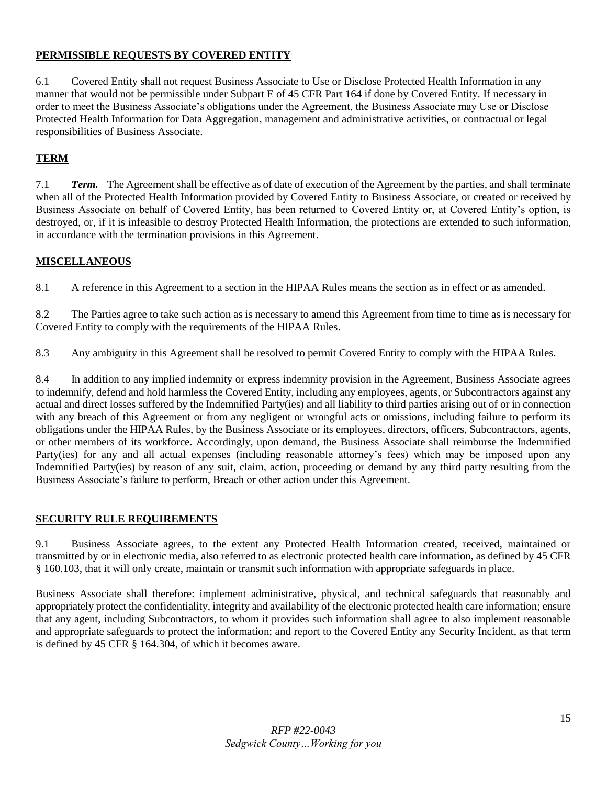# **PERMISSIBLE REQUESTS BY COVERED ENTITY**

6.1 Covered Entity shall not request Business Associate to Use or Disclose Protected Health Information in any manner that would not be permissible under Subpart E of 45 CFR Part 164 if done by Covered Entity. If necessary in order to meet the Business Associate's obligations under the Agreement, the Business Associate may Use or Disclose Protected Health Information for Data Aggregation, management and administrative activities, or contractual or legal responsibilities of Business Associate.

# **TERM**

7.1 *Term.* The Agreement shall be effective as of date of execution of the Agreement by the parties, and shall terminate when all of the Protected Health Information provided by Covered Entity to Business Associate, or created or received by Business Associate on behalf of Covered Entity, has been returned to Covered Entity or, at Covered Entity's option, is destroyed, or, if it is infeasible to destroy Protected Health Information, the protections are extended to such information, in accordance with the termination provisions in this Agreement.

# **MISCELLANEOUS**

8.1 A reference in this Agreement to a section in the HIPAA Rules means the section as in effect or as amended.

8.2 The Parties agree to take such action as is necessary to amend this Agreement from time to time as is necessary for Covered Entity to comply with the requirements of the HIPAA Rules.

8.3 Any ambiguity in this Agreement shall be resolved to permit Covered Entity to comply with the HIPAA Rules.

8.4 In addition to any implied indemnity or express indemnity provision in the Agreement, Business Associate agrees to indemnify, defend and hold harmless the Covered Entity, including any employees, agents, or Subcontractors against any actual and direct losses suffered by the Indemnified Party(ies) and all liability to third parties arising out of or in connection with any breach of this Agreement or from any negligent or wrongful acts or omissions, including failure to perform its obligations under the HIPAA Rules, by the Business Associate or its employees, directors, officers, Subcontractors, agents, or other members of its workforce. Accordingly, upon demand, the Business Associate shall reimburse the Indemnified Party(ies) for any and all actual expenses (including reasonable attorney's fees) which may be imposed upon any Indemnified Party(ies) by reason of any suit, claim, action, proceeding or demand by any third party resulting from the Business Associate's failure to perform, Breach or other action under this Agreement.

# **SECURITY RULE REQUIREMENTS**

9.1 Business Associate agrees, to the extent any Protected Health Information created, received, maintained or transmitted by or in electronic media, also referred to as electronic protected health care information, as defined by 45 CFR § 160.103, that it will only create, maintain or transmit such information with appropriate safeguards in place.

Business Associate shall therefore: implement administrative, physical, and technical safeguards that reasonably and appropriately protect the confidentiality, integrity and availability of the electronic protected health care information; ensure that any agent, including Subcontractors, to whom it provides such information shall agree to also implement reasonable and appropriate safeguards to protect the information; and report to the Covered Entity any Security Incident, as that term is defined by 45 CFR § 164.304, of which it becomes aware.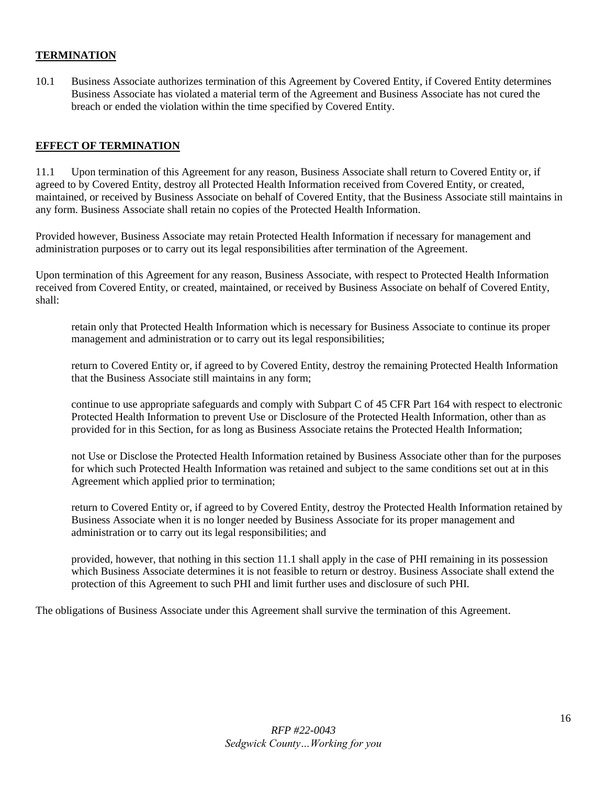### **TERMINATION**

10.1 Business Associate authorizes termination of this Agreement by Covered Entity, if Covered Entity determines Business Associate has violated a material term of the Agreement and Business Associate has not cured the breach or ended the violation within the time specified by Covered Entity.

#### **EFFECT OF TERMINATION**

11.1 Upon termination of this Agreement for any reason, Business Associate shall return to Covered Entity or, if agreed to by Covered Entity, destroy all Protected Health Information received from Covered Entity, or created, maintained, or received by Business Associate on behalf of Covered Entity, that the Business Associate still maintains in any form. Business Associate shall retain no copies of the Protected Health Information.

Provided however, Business Associate may retain Protected Health Information if necessary for management and administration purposes or to carry out its legal responsibilities after termination of the Agreement.

Upon termination of this Agreement for any reason, Business Associate, with respect to Protected Health Information received from Covered Entity, or created, maintained, or received by Business Associate on behalf of Covered Entity, shall:

retain only that Protected Health Information which is necessary for Business Associate to continue its proper management and administration or to carry out its legal responsibilities;

return to Covered Entity or, if agreed to by Covered Entity, destroy the remaining Protected Health Information that the Business Associate still maintains in any form;

continue to use appropriate safeguards and comply with Subpart C of 45 CFR Part 164 with respect to electronic Protected Health Information to prevent Use or Disclosure of the Protected Health Information, other than as provided for in this Section, for as long as Business Associate retains the Protected Health Information;

not Use or Disclose the Protected Health Information retained by Business Associate other than for the purposes for which such Protected Health Information was retained and subject to the same conditions set out at in this Agreement which applied prior to termination;

return to Covered Entity or, if agreed to by Covered Entity, destroy the Protected Health Information retained by Business Associate when it is no longer needed by Business Associate for its proper management and administration or to carry out its legal responsibilities; and

provided, however, that nothing in this section 11.1 shall apply in the case of PHI remaining in its possession which Business Associate determines it is not feasible to return or destroy. Business Associate shall extend the protection of this Agreement to such PHI and limit further uses and disclosure of such PHI.

The obligations of Business Associate under this Agreement shall survive the termination of this Agreement.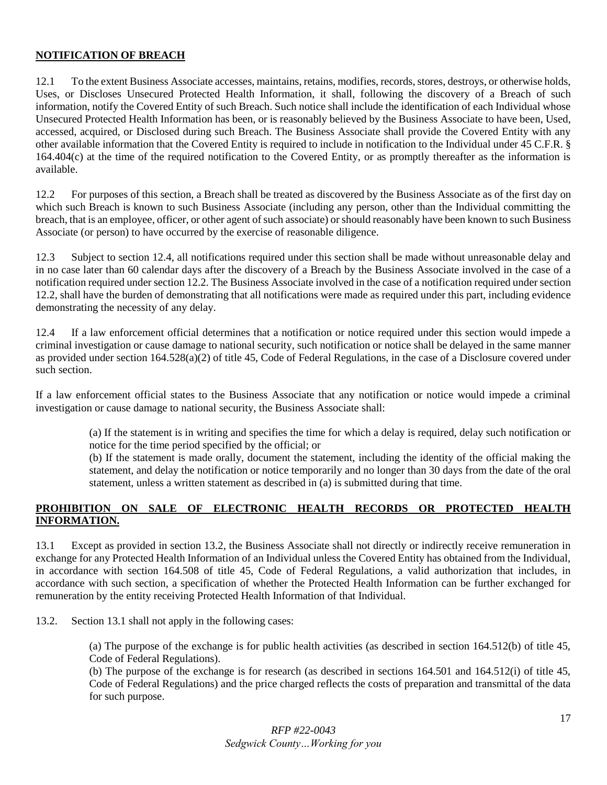### **NOTIFICATION OF BREACH**

12.1 To the extent Business Associate accesses, maintains, retains, modifies, records, stores, destroys, or otherwise holds, Uses, or Discloses Unsecured Protected Health Information, it shall, following the discovery of a Breach of such information, notify the Covered Entity of such Breach. Such notice shall include the identification of each Individual whose Unsecured Protected Health Information has been, or is reasonably believed by the Business Associate to have been, Used, accessed, acquired, or Disclosed during such Breach. The Business Associate shall provide the Covered Entity with any other available information that the Covered Entity is required to include in notification to the Individual under 45 C.F.R. § 164.404(c) at the time of the required notification to the Covered Entity, or as promptly thereafter as the information is available.

12.2 For purposes of this section, a Breach shall be treated as discovered by the Business Associate as of the first day on which such Breach is known to such Business Associate (including any person, other than the Individual committing the breach, that is an employee, officer, or other agent of such associate) or should reasonably have been known to such Business Associate (or person) to have occurred by the exercise of reasonable diligence.

12.3 Subject to section 12.4, all notifications required under this section shall be made without unreasonable delay and in no case later than 60 calendar days after the discovery of a Breach by the Business Associate involved in the case of a notification required under section 12.2. The Business Associate involved in the case of a notification required under section 12.2, shall have the burden of demonstrating that all notifications were made as required under this part, including evidence demonstrating the necessity of any delay.

12.4 If a law enforcement official determines that a notification or notice required under this section would impede a criminal investigation or cause damage to national security, such notification or notice shall be delayed in the same manner as provided under section 164.528(a)(2) of title 45, Code of Federal Regulations, in the case of a Disclosure covered under such section.

If a law enforcement official states to the Business Associate that any notification or notice would impede a criminal investigation or cause damage to national security, the Business Associate shall:

> (a) If the statement is in writing and specifies the time for which a delay is required, delay such notification or notice for the time period specified by the official; or

> (b) If the statement is made orally, document the statement, including the identity of the official making the statement, and delay the notification or notice temporarily and no longer than 30 days from the date of the oral statement, unless a written statement as described in (a) is submitted during that time.

## **PROHIBITION ON SALE OF ELECTRONIC HEALTH RECORDS OR PROTECTED HEALTH INFORMATION.**

13.1 Except as provided in section 13.2, the Business Associate shall not directly or indirectly receive remuneration in exchange for any Protected Health Information of an Individual unless the Covered Entity has obtained from the Individual, in accordance with section 164.508 of title 45, Code of Federal Regulations, a valid authorization that includes, in accordance with such section, a specification of whether the Protected Health Information can be further exchanged for remuneration by the entity receiving Protected Health Information of that Individual.

13.2. Section 13.1 shall not apply in the following cases:

(a) The purpose of the exchange is for public health activities (as described in section 164.512(b) of title 45, Code of Federal Regulations).

(b) The purpose of the exchange is for research (as described in sections 164.501 and 164.512(i) of title 45, Code of Federal Regulations) and the price charged reflects the costs of preparation and transmittal of the data for such purpose.